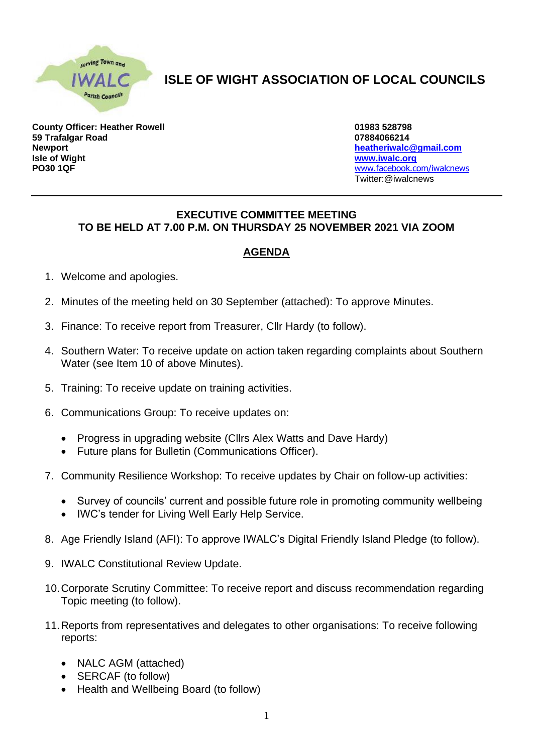

## **ISLE OF WIGHT ASSOCIATION OF LOCAL COUNCILS**

**County Officer: Heather Rowell 01983 528798 59 Trafalgar Road 07884066214 Newport [heatheriwalc@gmail.com](mailto:heatheriwalc@gmail.com) Isle of Wight [www.iwalc.org](http://www.iwalc.org/) PO30 1QF** [www.facebook.com/iwalcnews](http://www.facebook.com/iwalcnews)

Twitter:@iwalcnews

## **EXECUTIVE COMMITTEE MEETING TO BE HELD AT 7.00 P.M. ON THURSDAY 25 NOVEMBER 2021 VIA ZOOM**

## **AGENDA**

- 1. Welcome and apologies.
- 2. Minutes of the meeting held on 30 September (attached): To approve Minutes.
- 3. Finance: To receive report from Treasurer, Cllr Hardy (to follow).
- 4. Southern Water: To receive update on action taken regarding complaints about Southern Water (see Item 10 of above Minutes).
- 5. Training: To receive update on training activities.
- 6. Communications Group: To receive updates on:
	- Progress in upgrading website (Cllrs Alex Watts and Dave Hardy)
	- Future plans for Bulletin (Communications Officer).
- 7. Community Resilience Workshop: To receive updates by Chair on follow-up activities:
	- Survey of councils' current and possible future role in promoting community wellbeing
	- IWC's tender for Living Well Early Help Service.
- 8. Age Friendly Island (AFI): To approve IWALC's Digital Friendly Island Pledge (to follow).
- 9. IWALC Constitutional Review Update.
- 10.Corporate Scrutiny Committee: To receive report and discuss recommendation regarding Topic meeting (to follow).
- 11.Reports from representatives and delegates to other organisations: To receive following reports:
	- NALC AGM (attached)
	- SERCAF (to follow)
	- Health and Wellbeing Board (to follow)